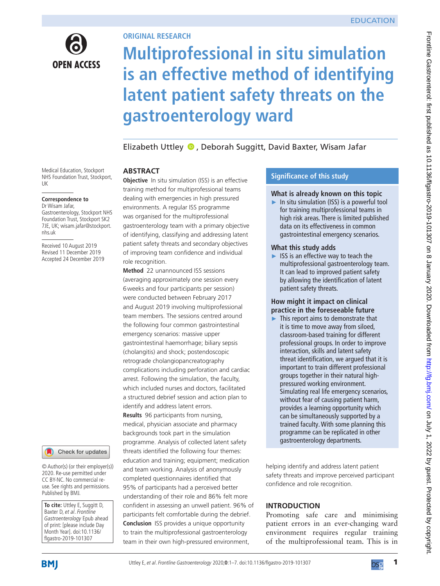

## **Original research**

# **Multiprofessional in situ simulation is an effective method of identifying latent patient safety threats on the gastroenterology ward**

Elizabeth Uttley <sup>1</sup>, Deborah Suggitt, David Baxter, Wisam Jafar

Medical Education, Stockport NHS Foundation Trust, Stockport, UK

#### **Correspondence to**

Dr Wisam Jafar, Gastroenterology, Stockport NHS Foundation Trust, Stockport SK2 7JE, UK; wisam.jafar@stockport. nhs.uk

Received 10 August 2019 Revised 11 December 2019 Accepted 24 December 2019



© Author(s) (or their employer(s)) 2020. Re-use permitted under CC BY-NC. No commercial reuse. See rights and permissions. Published by BMJ.

**To cite:** Uttley E, Suggitt D, Baxter D, et al. Frontline Gastroenterology Epub ahead of print: [please include Day Month Year]. doi:10.1136/ flgastro-2019-101307

## **ABSTRACT**

**Objective** In situ simulation (ISS) is an effective training method for multiprofessional teams dealing with emergencies in high pressured environments. A regular ISS programme was organised for the multiprofessional gastroenterology team with a primary objective of identifying, classifying and addressing latent patient safety threats and secondary objectives of improving team confidence and individual role recognition.

**Method** 22 unannounced ISS sessions (averaging approximately one session every 6weeks and four participants per session) were conducted between February 2017 and August 2019 involving multiprofessional team members. The sessions centred around the following four common gastrointestinal emergency scenarios: massive upper gastrointestinal haemorrhage; biliary sepsis (cholangitis) and shock; postendoscopic retrograde cholangiopancreatography complications including perforation and cardiac arrest. Following the simulation, the faculty, which included nurses and doctors, facilitated a structured debrief session and action plan to identify and address latent errors. **Results** 96 participants from nursing, medical, physician associate and pharmacy backgrounds took part in the simulation programme. Analysis of collected latent safety threats identified the following four themes: education and training; equipment; medication and team working. Analysis of anonymously completed questionnaires identified that 95% of participants had a perceived better understanding of their role and 86% felt more confident in assessing an unwell patient. 96% of participants felt comfortable during the debrief. **Conclusion** ISS provides a unique opportunity to train the multiprofessional gastroenterology team in their own high-pressured environment,

## **Significance of this study**

#### **What is already known on this topic**

In situ simulation (ISS) is a powerful tool for training multiprofessional teams in high risk areas. There is limited published data on its effectiveness in common gastrointestinal emergency scenarios.

#### **What this study adds**

 $\blacktriangleright$  ISS is an effective way to teach the multiprofessional gastroenterology team. It can lead to improved patient safety by allowing the identification of latent patient safety threats.

# **How might it impact on clinical practice in the foreseeable future**

This report aims to demonstrate that it is time to move away from siloed, classroom-based training for different professional groups. In order to improve interaction, skills and latent safety threat identification, we argued that it is important to train different professional groups together in their natural highpressured working environment. Simulating real life emergency scenarios, without fear of causing patient harm, provides a learning opportunity which can be simultaneously supported by a trained faculty. With some planning this programme can be replicated in other gastroenterology departments.

helping identify and address latent patient safety threats and improve perceived participant confidence and role recognition.

# **Introduction**

Promoting safe care and minimising patient errors in an ever-changing ward environment requires regular training of the multiprofessional team. This is in

**BMJ** 

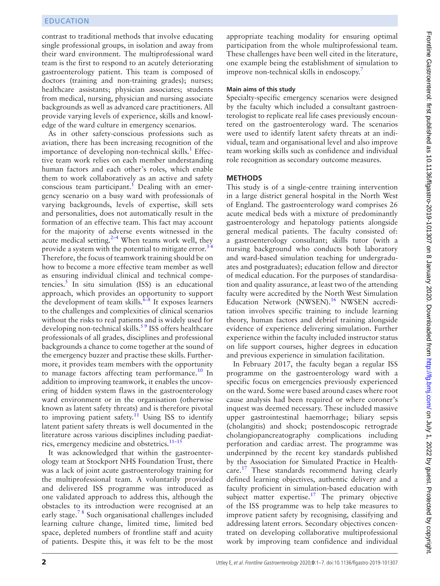## **EDUCATION**

contrast to traditional methods that involve educating single professional groups, in isolation and away from their ward environment. The multiprofessional ward team is the first to respond to an acutely deteriorating gastroenterology patient. This team is composed of doctors (training and non-training grades); nurses; healthcare assistants; physician associates; students from medical, nursing, physician and nursing associate backgrounds as well as advanced care practitioners. All provide varying levels of experience, skills and knowledge of the ward culture in emergency scenarios.

As in other safety-conscious professions such as aviation, there has been increasing recognition of the importance of developing non-technical skills.<sup>1</sup> Effective team work relies on each member understanding human factors and each other's roles, which enable them to work collaboratively as an active and safety conscious team participant.<sup>[1](#page-5-0)</sup> Dealing with an emergency scenario on a busy ward with professionals of varying backgrounds, levels of expertise, skill sets and personalities, does not automatically result in the formation of an effective team. This fact may account for the majority of adverse events witnessed in the acute medical setting. $2-4$  When teams work well, they provide a system with the potential to mitigate error.<sup>34</sup> Therefore, the focus of teamwork training should be on how to become a more effective team member as well as ensuring individual clinical and technical competencies.<sup>5</sup> In situ simulation (ISS) is an educational approach, which provides an opportunity to support the development of team skills. $6-8$  It exposes learners to the challenges and complexities of clinical scenarios without the risks to real patients and is widely used for developing non-technical skills.<sup>59</sup> ISS offers healthcare professionals of all grades, disciplines and professional backgrounds a chance to come together at the sound of the emergency buzzer and practise these skills. Furthermore, it provides team members with the opportunity to manage factors affecting team performance.<sup>10</sup> In addition to improving teamwork, it enables the uncovering of hidden system flaws in the gastroenterology ward environment or in the organisation (otherwise known as latent safety threats) and is therefore pivotal to improving patient safety.<sup>11</sup> Using ISS to identify latent patient safety threats is well documented in the literature across various disciplines including paediat-rics, emergency medicine and obstetrics.<sup>[11–15](#page-6-0)</sup>

It was acknowledged that within the gastroenterology team at Stockport NHS Foundation Trust, there was a lack of joint acute gastroenterology training for the multiprofessional team. A voluntarily provided and delivered ISS programme was introduced as one validated approach to address this, although the obstacles to its introduction were recognised at an early stage.<sup>78</sup> Such organisational challenges included learning culture change, limited time, limited bed space, depleted numbers of frontline staff and acuity of patients. Despite this, it was felt to be the most

appropriate teaching modality for ensuring optimal participation from the whole multiprofessional team. These challenges have been well cited in the literature, one example being the establishment of simulation to improve non-technical skills in endoscopy.<sup>[7](#page-5-6)</sup>

### **Main aims of this study**

Specialty-specific emergency scenarios were designed by the faculty which included a consultant gastroenterologist to replicate real life cases previously encountered on the gastroenterology ward. The scenarios were used to identify latent safety threats at an individual, team and organisational level and also improve team working skills such as confidence and individual role recognition as secondary outcome measures.

#### **Methods**

This study is of a single-centre training intervention in a large district general hospital in the North West of England. The gastroenterology ward comprises 26 acute medical beds with a mixture of predominantly gastroenterology and hepatology patients alongside general medical patients. The faculty consisted of: a gastroenterology consultant; skills tutor (with a nursing background who conducts both laboratory and ward-based simulation teaching for undergraduates and postgraduates); education fellow and director of medical education. For the purposes of standardisation and quality assurance, at least two of the attending faculty were accredited by the North West Simulation Education Network (NWSEN).<sup>[16](#page-6-1)</sup> NWSEN accreditation involves specific training to include learning theory, human factors and debrief training alongside evidence of experience delivering simulation. Further experience within the faculty included instructor status on life support courses, higher degrees in education and previous experience in simulation facilitation.

In February 2017, the faculty began a regular ISS programme on the gastroenterology ward with a specific focus on emergencies previously experienced on the ward. Some were based around cases where root cause analysis had been required or where coroner's inquest was deemed necessary. These included massive upper gastrointestinal haemorrhage; biliary sepsis (cholangitis) and shock; postendoscopic retrograde cholangiopancreatography complications including perforation and cardiac arrest. The programme was underpinned by the recent key standards published by the Association for Simulated Practice in Healthcare[.17](#page-6-2) These standards recommend having clearly defined learning objectives, authentic delivery and a faculty proficient in simulation-based education with subject matter expertise.<sup>17</sup> The primary objective of the ISS programme was to help take measures to improve patient safety by recognising, classifying and addressing latent errors. Secondary objectives concentrated on developing collaborative multiprofessional work by improving team confidence and individual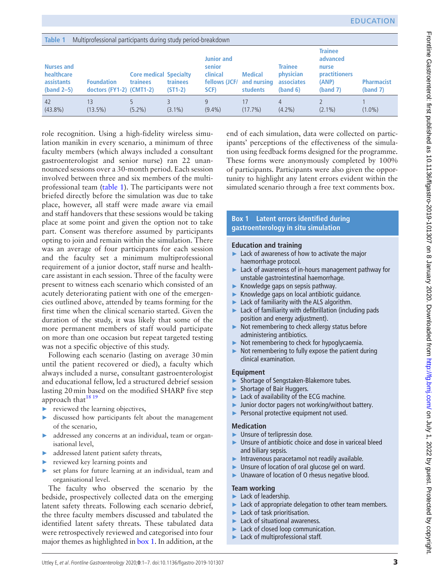<span id="page-2-0"></span>

| Table 1<br>Multiprofessional participants during study period-breakdown |                                               |                                           |                       |                                                                  |                                                  |                                                           |                                                                           |                               |  |
|-------------------------------------------------------------------------|-----------------------------------------------|-------------------------------------------|-----------------------|------------------------------------------------------------------|--------------------------------------------------|-----------------------------------------------------------|---------------------------------------------------------------------------|-------------------------------|--|
| <b>Nurses and</b><br>healthcare<br>assistants<br>$(band 2-5)$           | <b>Foundation</b><br>doctors (FY1-2) (CMT1-2) | <b>Core medical Specialty</b><br>trainees | trainees<br>$(ST1-2)$ | <b>Junior and</b><br>senior<br>clinical<br>fellows (JCF/<br>SCF) | <b>Medical</b><br>and nursing<br><b>students</b> | <b>Trainee</b><br>physician<br>associates<br>$h$ (band 6) | <b>Trainee</b><br>advanced<br>nurse<br>practitioners<br>(ANP)<br>(band 7) | <b>Pharmacist</b><br>(band 7) |  |
| 42<br>$(43.8\%)$                                                        | 13<br>$(13.5\%)$                              | $(5.2\%)$                                 | $(3.1\%)$             | q<br>$(9.4\%)$                                                   | $(17.7\%)$                                       | 4<br>$(4.2\%)$                                            | $(2.1\%)$                                                                 | $(1.0\%)$                     |  |

role recognition. Using a high-fidelity wireless simulation manikin in every scenario, a minimum of three faculty members (which always included a consultant gastroenterologist and senior nurse) ran 22 unannounced sessions over a 30-month period. Each session involved between three and six members of the multiprofessional team ([table](#page-2-0) 1). The participants were not briefed directly before the simulation was due to take place, however, all staff were made aware via email and staff handovers that these sessions would be taking place at some point and given the option not to take part. Consent was therefore assumed by participants opting to join and remain within the simulation. There was an average of four participants for each session and the faculty set a minimum multiprofessional requirement of a junior doctor, staff nurse and healthcare assistant in each session. Three of the faculty were present to witness each scenario which consisted of an acutely deteriorating patient with one of the emergencies outlined above, attended by teams forming for the first time when the clinical scenario started. Given the duration of the study, it was likely that some of the more permanent members of staff would participate on more than one occasion but repeat targeted testing was not a specific objective of this study.

Following each scenario (lasting on average 30min until the patient recovered or died), a faculty which always included a nurse, consultant gastroenterologist and educational fellow, led a structured debrief session lasting 20min based on the modified SHARP five step approach that $^{18}$   $^{19}$ 

- ► reviewed the learning objectives,
- discussed how participants felt about the management of the scenario,
- addressed any concerns at an individual, team or organisational level,
- ► addressed latent patient safety threats,
- ► reviewed key learning points and
- ► set plans for future learning at an individual, team and organisational level.

The faculty who observed the scenario by the bedside, prospectively collected data on the emerging latent safety threats. Following each scenario debrief, the three faculty members discussed and tabulated the identified latent safety threats. These tabulated data were retrospectively reviewed and categorised into four major themes as highlighted in [box](#page-2-1) 1. In addition, at the end of each simulation, data were collected on participants' perceptions of the effectiveness of the simulation using feedback forms designed for the programme. These forms were anonymously completed by 100% of participants. Participants were also given the opportunity to highlight any latent errors evident within the simulated scenario through a free text comments box.

# **Box 1 Latent errors identified during gastroenterology in situ simulation**

#### <span id="page-2-1"></span>**Education and training**

- Lack of awareness of how to activate the major haemorrhage protocol.
- ► Lack of awareness of in-hours management pathway for unstable gastrointestinal haemorrhage.
- ► Knowledge gaps on sepsis pathway.
- ► Knowledge gaps on local antibiotic guidance.
- Lack of familiarity with the ALS algorithm.
- Lack of familiarity with defibrillation (including pads position and energy adjustment).
- Not remembering to check allergy status before administering antibiotics.
- Not remembering to check for hypoglycaemia.
- Not remembering to fully expose the patient during clinical examination.

## **Equipment**

- Shortage of Sengstaken-Blakemore tubes.
- Shortage of Bair Huggers.
- Lack of availability of the ECG machine.
- Junior doctor pagers not working/without battery.
- Personal protective equipment not used.

## **Medication**

- ► Unsure of terlipressin dose.
- Unsure of antibiotic choice and dose in variceal bleed and biliary sepsis.
- ► Intravenous paracetamol not readily available.
- Unsure of location of oral glucose gel on ward.
- Unaware of location of O rhesus negative blood.

#### **Team working**

- Lack of leadership.
- Lack of appropriate delegation to other team members.
- Lack of task prioritisation.
- Lack of situational awareness.
- Lack of closed loop communication.
- Lack of multiprofessional staff.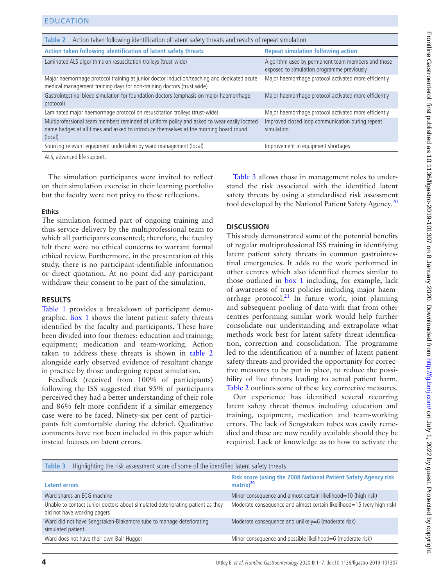<span id="page-3-0"></span>

| Action taken following identification of latent safety threats and results of repeat simulation<br>Table 2                                                                                     |                                                                                                  |  |  |  |  |  |
|------------------------------------------------------------------------------------------------------------------------------------------------------------------------------------------------|--------------------------------------------------------------------------------------------------|--|--|--|--|--|
| Action taken following identification of latent safety threats                                                                                                                                 | <b>Repeat simulation following action</b>                                                        |  |  |  |  |  |
| Laminated ALS algorithms on resuscitation trolleys (trust-wide)                                                                                                                                | Algorithm used by permanent team members and those<br>exposed to simulation programme previously |  |  |  |  |  |
| Major haemorrhage protocol training at junior doctor induction/teaching and dedicated acute<br>medical management training days for non-training doctors (trust wide)                          | Major haemorrhage protocol activated more efficiently                                            |  |  |  |  |  |
| Gastrointestinal bleed simulation for foundation doctors (emphasis on major haemorrhage<br>protocol)                                                                                           | Major haemorrhage protocol activated more efficiently                                            |  |  |  |  |  |
| Laminated major haemorrhage protocol on resuscitation trolleys (trust-wide)                                                                                                                    | Major haemorrhage protocol activated more efficiently                                            |  |  |  |  |  |
| Multiprofessional team members reminded of uniform policy and asked to wear easily located<br>name badges at all times and asked to introduce themselves at the morning board round<br>(local) | Improved closed loop communication during repeat<br>simulation                                   |  |  |  |  |  |
| Sourcing relevant equipment undertaken by ward management (local)                                                                                                                              | Improvement in equipment shortages                                                               |  |  |  |  |  |
| $\cdots$ $\cdots$ $\cdots$                                                                                                                                                                     |                                                                                                  |  |  |  |  |  |

ALS, advanced life support.

The simulation participants were invited to reflect on their simulation exercise in their learning portfolio but the faculty were not privy to these reflections.

#### **Ethics**

The simulation formed part of ongoing training and thus service delivery by the multiprofessional team to which all participants consented; therefore, the faculty felt there were no ethical concerns to warrant formal ethical review. Furthermore, in the presentation of this study, there is no participant-identifiable information or direct quotation. At no point did any participant withdraw their consent to be part of the simulation.

#### **Results**

[Table](#page-2-0) 1 provides a breakdown of participant demographic. [Box](#page-2-1) 1 shows the latent patient safety threats identified by the faculty and participants. These have been divided into four themes: education and training; equipment; medication and team-working. Action taken to address these threats is shown in [table](#page-3-0) 2 alongside early observed evidence of resultant change in practice by those undergoing repeat simulation.

Feedback (received from 100% of participants) following the ISS suggested that 95% of participants perceived they had a better understanding of their role and 86% felt more confident if a similar emergency case were to be faced. Ninety-six per cent of participants felt comfortable during the debrief. Qualitative comments have not been included in this paper which instead focuses on latent errors.

[Table](#page-3-1) 3 allows those in management roles to understand the risk associated with the identified latent safety threats by using a standardised risk assessment tool developed by the National Patient Safety Agency.<sup>20</sup>

## **Discussion**

This study demonstrated some of the potential benefits of regular multiprofessional ISS training in identifying latent patient safety threats in common gastrointestinal emergencies. It adds to the work performed in other centres which also identified themes similar to those outlined in [box](#page-2-1) 1 including, for example, lack of awareness of trust policies including major haemorrhage protocol. $^{21}$  $^{21}$  $^{21}$  In future work, joint planning and subsequent pooling of data with that from other centres performing similar work would help further consolidate our understanding and extrapolate what methods work best for latent safety threat identification, correction and consolidation. The programme led to the identification of a number of latent patient safety threats and provided the opportunity for corrective measures to be put in place, to reduce the possibility of live threats leading to actual patient harm. [Table](#page-3-0) 2 outlines some of these key corrective measures.

Our experience has identified several recurring latent safety threat themes including education and training, equipment, medication and team-working errors. The lack of Sengstaken tubes was easily remedied and these are now readily available should they be required. Lack of knowledge as to how to activate the

<span id="page-3-1"></span>

| Highlighting the risk assessment score of some of the identified latent safety threats<br>Table 3             |                                                                                           |  |  |  |  |
|---------------------------------------------------------------------------------------------------------------|-------------------------------------------------------------------------------------------|--|--|--|--|
| <b>Latent errors</b>                                                                                          | Risk score (using the 2008 National Patient Safety Agency risk<br>$matrix)$ <sup>20</sup> |  |  |  |  |
| Ward shares an ECG machine                                                                                    | Minor consequence and almost certain likelihood=10 (high risk)                            |  |  |  |  |
| Unable to contact Junior doctors about simulated deteriorating patient as they<br>did not have working pagers | Moderate consequence and almost certain likelihood=15 (very high risk)                    |  |  |  |  |
| Ward did not have Sengstaken-Blakemore tube to manage deteriorating<br>simulated patient.                     | Moderate consequence and unlikely=6 (moderate risk)                                       |  |  |  |  |
| Ward does not have their own Bair-Hugger                                                                      | Minor consequence and possible likelihood=6 (moderate risk)                               |  |  |  |  |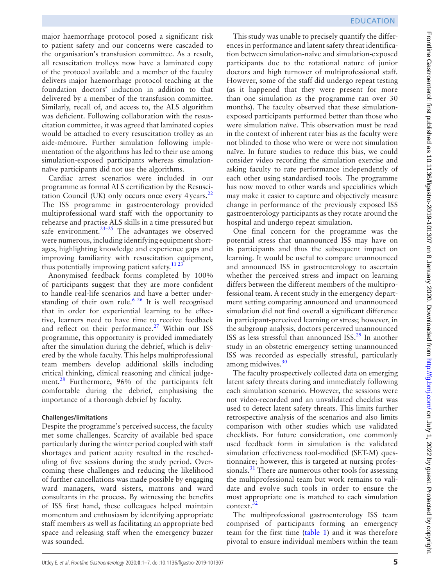major haemorrhage protocol posed a significant risk to patient safety and our concerns were cascaded to the organisation's transfusion committee. As a result, all resuscitation trolleys now have a laminated copy of the protocol available and a member of the faculty delivers major haemorrhage protocol teaching at the foundation doctors' induction in addition to that delivered by a member of the transfusion committee. Similarly, recall of, and access to, the ALS algorithm was deficient. Following collaboration with the resuscitation committee, it was agreed that laminated copies would be attached to every resuscitation trolley as an aide-mémoire. Further simulation following implementation of the algorithms has led to their use among simulation-exposed participants whereas simulationnaïve participants did not use the algorithms.

Cardiac arrest scenarios were included in our programme as formal ALS certification by the Resuscitation Council (UK) only occurs once every  $4$  years.<sup>[22](#page-6-6)</sup> The ISS programme in gastroenterology provided multiprofessional ward staff with the opportunity to rehearse and practise ALS skills in a time pressured but safe environment. $23-25$  The advantages we observed were numerous, including identifying equipment shortages, highlighting knowledge and experience gaps and improving familiarity with resuscitation equipment, thus potentially improving patient safety.<sup>[11 23](#page-6-0)</sup>

Anonymised feedback forms completed by 100% of participants suggest that they are more confident to handle real-life scenarios and have a better under-standing of their own role.<sup>[6 26](#page-5-4)</sup> It is well recognised that in order for experiential learning to be effective, learners need to have time to receive feedback and reflect on their performance. $27$  Within our ISS programme, this opportunity is provided immediately after the simulation during the debrief, which is delivered by the whole faculty. This helps multiprofessional team members develop additional skills including critical thinking, clinical reasoning and clinical judgement.<sup>28</sup> Furthermore, 96% of the participants felt comfortable during the debrief, emphasising the importance of a thorough debrief by faculty.

## **Challenges/limitations**

Despite the programme's perceived success, the faculty met some challenges. Scarcity of available bed space particularly during the winter period coupled with staff shortages and patient acuity resulted in the rescheduling of five sessions during the study period. Overcoming these challenges and reducing the likelihood of further cancellations was made possible by engaging ward managers, ward sisters, matrons and ward consultants in the process. By witnessing the benefits of ISS first hand, these colleagues helped maintain momentum and enthusiasm by identifying appropriate staff members as well as facilitating an appropriate bed space and releasing staff when the emergency buzzer was sounded.

This study was unable to precisely quantify the differences in performance and latent safety threat identification between simulation-naïve and simulation-exposed participants due to the rotational nature of junior doctors and high turnover of multiprofessional staff. However, some of the staff did undergo repeat testing (as it happened that they were present for more than one simulation as the programme ran over 30 months). The faculty observed that these simulationexposed participants performed better than those who were simulation naïve. This observation must be read in the context of inherent rater bias as the faculty were not blinded to those who were or were not simulation naïve. In future studies to reduce this bias, we could consider video recording the simulation exercise and asking faculty to rate performance independently of each other using standardised tools. The programme has now moved to other wards and specialities which may make it easier to capture and objectively measure change in performance of the previously exposed ISS gastroenterology participants as they rotate around the hospital and undergo repeat simulation.

One final concern for the programme was the potential stress that unannounced ISS may have on its participants and thus the subsequent impact on learning. It would be useful to compare unannounced and announced ISS in gastroenterology to ascertain whether the perceived stress and impact on learning differs between the different members of the multiprofessional team. A recent study in the emergency department setting comparing announced and unannounced simulation did not find overall a significant difference in participant-perceived learning or stress; however, in the subgroup analysis, doctors perceived unannounced ISS as less stressful than announced ISS[.29](#page-6-10) In another study in an obstetric emergency setting unannounced ISS was recorded as especially stressful, particularly among midwives. $30$ 

The faculty prospectively collected data on emerging latent safety threats during and immediately following each simulation scenario. However, the sessions were not video-recorded and an unvalidated checklist was used to detect latent safety threats. This limits further retrospective analysis of the scenarios and also limits comparison with other studies which use validated checklists. For future consideration, one commonly used feedback form in simulation is the validated simulation effectiveness tool-modified (SET-M) questionnaire; however, this is targeted at nursing professionals.<sup>31</sup> There are numerous other tools for assessing the multiprofessional team but work remains to validate and evolve such tools in order to ensure the most appropriate one is matched to each simulation context.<sup>[32](#page-6-13)</sup>

The multiprofessional gastroenterology ISS team comprised of participants forming an emergency team for the first time ([table](#page-2-0) 1) and it was therefore pivotal to ensure individual members within the team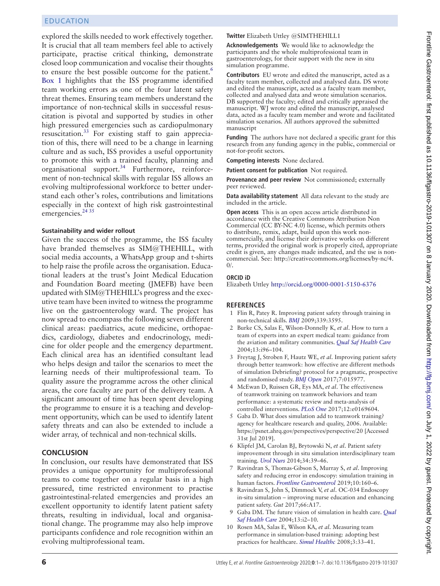# **EDUCATION**

explored the skills needed to work effectively together. It is crucial that all team members feel able to actively participate, practise critical thinking, demonstrate closed loop communication and vocalise their thoughts to ensure the best possible outcome for the patient.<sup>[6](#page-5-4)</sup> [Box](#page-2-1) 1 highlights that the ISS programme identified team working errors as one of the four latent safety threat themes. Ensuring team members understand the importance of non-technical skills in successful resuscitation is pivotal and supported by studies in other high pressured emergencies such as cardiopulmonary resuscitation.[33](#page-6-14) For existing staff to gain appreciation of this, there will need to be a change in learning culture and as such, ISS provides a useful opportunity to promote this with a trained faculty, planning and organisational support.<sup>34</sup> Furthermore, reinforcement of non-technical skills with regular ISS allows an evolving multiprofessional workforce to better understand each other's roles, contributions and limitations especially in the context of high risk gastrointestinal emergencies.<sup>24 35</sup>

#### **Sustainability and wider rollout**

Given the success of the programme, the ISS faculty have branded themselves as SIM@THEHILL, with social media accounts, a WhatsApp group and t-shirts to help raise the profile across the organisation. Educational leaders at the trust's Joint Medical Education and Foundation Board meeting (JMEFB) have been updated with SIM@THEHILL's progress and the executive team have been invited to witness the programme live on the gastroenterology ward. The project has now spread to encompass the following seven different clinical areas: paediatrics, acute medicine, orthopaedics, cardiology, diabetes and endocrinology, medicine for older people and the emergency department. Each clinical area has an identified consultant lead who helps design and tailor the scenarios to meet the learning needs of their multiprofessional team. To quality assure the programme across the other clinical areas, the core faculty are part of the delivery team. A significant amount of time has been spent developing the programme to ensure it is a teaching and development opportunity, which can be used to identify latent safety threats and can also be extended to include a wider array, of technical and non-technical skills.

## **Conclusion**

In conclusion, our results have demonstrated that ISS provides a unique opportunity for multiprofessional teams to come together on a regular basis in a high pressured, time restricted environment to practise gastrointestinal-related emergencies and provides an excellent opportunity to identify latent patient safety threats, resulting in individual, local and organisational change. The programme may also help improve participants confidence and role recognition within an evolving multiprofessional team.

#### **Twitter** Elizabeth Uttley [@SIMTHEHILL1](https://twitter.com/SIMTHEHILL1)

**Acknowledgements** We would like to acknowledge the participants and the whole multiprofessional team in gastroenterology, for their support with the new in situ simulation programme.

**Contributors** EU wrote and edited the manuscript, acted as a faculty team member, collected and analysed data. DS wrote and edited the manuscript, acted as a faculty team member, collected and analysed data and wrote simulation scenarios. DB supported the faculty; edited and critically appraised the manuscript. WJ wrote and edited the manuscript, analysed data, acted as a faculty team member and wrote and facilitated simulation scenarios. All authors approved the submitted manuscript

**Funding** The authors have not declared a specific grant for this research from any funding agency in the public, commercial or not-for-profit sectors.

**Competing interests** None declared.

**Patient consent for publication** Not required.

**Provenance and peer review** Not commissioned; externally peer reviewed.

**Data availability statement** All data relevant to the study are included in the article.

**Open access** This is an open access article distributed in accordance with the Creative Commons Attribution Non Commercial (CC BY-NC 4.0) license, which permits others to distribute, remix, adapt, build upon this work noncommercially, and license their derivative works on different terms, provided the original work is properly cited, appropriate credit is given, any changes made indicated, and the use is noncommercial. See: [http://creativecommons.org/licenses/by-nc/4.](http://creativecommons.org/licenses/by-nc/4.0/)  $0/$ .

#### **ORCID iD**

Elizabeth Uttley <http://orcid.org/0000-0001-5150-6376>

#### **References**

- <span id="page-5-0"></span>1 Flin R, Patey R. Improving patient safety through training in non-technical skills. *[BMJ](http://dx.doi.org/10.1136/bmj.b3595)* 2009;339:3595.
- <span id="page-5-1"></span>2 Burke CS, Salas E, Wilson-Donnelly K, *et al*. How to turn a team of experts into an expert medical team: guidance from the aviation and military communities. *[Qual Saf Health Care](http://dx.doi.org/10.1136/qshc.2004.009829)* 2004;13:i96–104.
- <span id="page-5-2"></span>3 Freytag J, Stroben F, Hautz WE, *et al*. Improving patient safety through better teamwork: how effective are different methods of simulation Debriefing? protocol for a pragmatic, prospective and randomised study. *[BMJ Open](http://dx.doi.org/10.1136/bmjopen-2017-015977)* 2017;7:015977.
- 4 McEwan D, Ruissen GR, Eys MA, *et al*. The effectiveness of teamwork training on teamwork behaviors and team performance: a systematic review and meta-analysis of controlled interventions. *[PLoS One](http://dx.doi.org/10.1371/journal.pone.0169604)* 2017;12:e0169604.
- <span id="page-5-3"></span>5 Gaba D. What does simulation add to teamwork training? agency for healthcare research and quality, 2006. Available: <https://psnet.ahrq.gov/perspectives/perspective/20> [Accessed 31st Jul 2019].
- <span id="page-5-4"></span>6 Klipfel JM, Carolan BJ, Brytowski N, *et al*. Patient safety improvement through in situ simulation interdisciplinary team training. *[Urol Nurs](http://dx.doi.org/10.7257/1053-816X.2014.34.1.39)* 2014;34:39–46.
- <span id="page-5-6"></span>7 Ravindran S, Thomas-Gibson S, Murray S, *et al*. Improving safety and reducing error in endoscopy: simulation training in human factors. *[Frontline Gastroenterol](http://dx.doi.org/10.1136/flgastro-2018-101078)* 2019;10:160–6.
- 8 Ravindran S, John S, Dimmock V, *et al*. OC-034 Endoscopy in-situ simulation – improving nurse education and enhancing patient safety. *Gut* 2017;66:A17.
- 9 Gaba DM. The future vision of simulation in health care. *[Qual](http://dx.doi.org/10.1136/qshc.2004.009878)  [Saf Health Care](http://dx.doi.org/10.1136/qshc.2004.009878)* 2004;13:i2–10.
- <span id="page-5-5"></span>10 Rosen MA, Salas E, Wilson KA, *et al*. Measuring team performance in simulation-based training: adopting best practices for healthcare. *[Simul Healthc](http://dx.doi.org/10.1097/SIH.0b013e3181626276)* 2008;3:33–41.